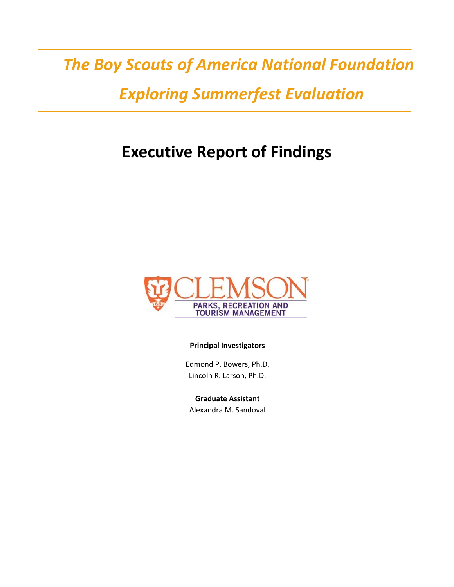# *The Boy Scouts of America National Foundation*

### *Exploring Summerfest Evaluation*

# **Executive Report of Findings**



#### **Principal Investigators**

Edmond P. Bowers, Ph.D. Lincoln R. Larson, Ph.D.

**Graduate Assistant** Alexandra M. Sandoval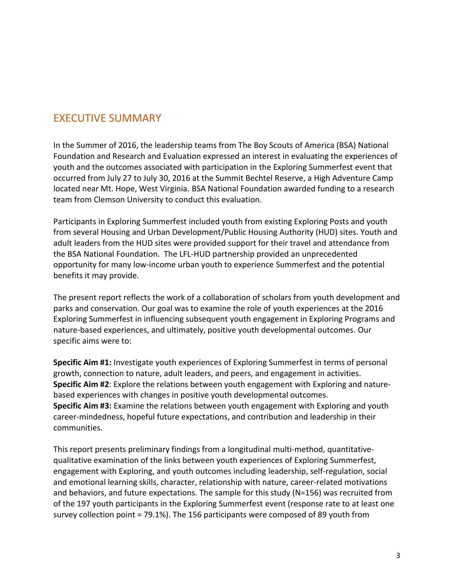#### EXECUTIVE SUMMARY

In the Summer of 2016, the leadership teams from The Boy Scouts of America (BSA) National Foundation and Research and Evaluation expressed an interest in evaluating the experiences of youth and the outcomes associated with participation in the Exploring Summerfest event that occurred from July 27 to July 30, 2016 at the Summit Bechtel Reserve, a High Adventure Camp located near Mt. Hope, West Virginia. BSA National Foundation awarded funding to a research team from Clemson University to conduct this evaluation.

Participants in Exploring Summerfest included youth from existing Exploring Posts and youth from several Housing and Urban Development/Public Housing Authority (HUD) sites. Youth and adult leaders from the HUD sites were provided support for their travel and attendance from the BSA National Foundation. The LFL-HUD partnership provided an unprecedented opportunity for many low-income urban youth to experience Summerfest and the potential benefits it may provide.

The present report reflects the work of a collaboration of scholars from youth development and parks and conservation. Our goal was to examine the role of youth experiences at the 2016 Exploring Summerfest in influencing subsequent youth engagement in Exploring Programs and nature-based experiences, and ultimately, positive youth developmental outcomes. Our specific aims were to:

**Specific Aim #1:** Investigate youth experiences of Exploring Summerfest in terms of personal growth, connection to nature, adult leaders, and peers, and engagement in activities. **Specific Aim #2**: Explore the relations between youth engagement with Exploring and naturebased experiences with changes in positive youth developmental outcomes. **Specific Aim #3:** Examine the relations between youth engagement with Exploring and youth career-mindedness, hopeful future expectations, and contribution and leadership in their communities.

This report presents preliminary findings from a longitudinal multi-method, quantitativequalitative examination of the links between youth experiences of Exploring Summerfest, engagement with Exploring, and youth outcomes including leadership, self-regulation, social and emotional learning skills, character, relationship with nature, career-related motivations and behaviors, and future expectations. The sample for this study (N=156) was recruited from of the 197 youth participants in the Exploring Summerfest event (response rate to at least one survey collection point = 79.1%). The 156 participants were composed of 89 youth from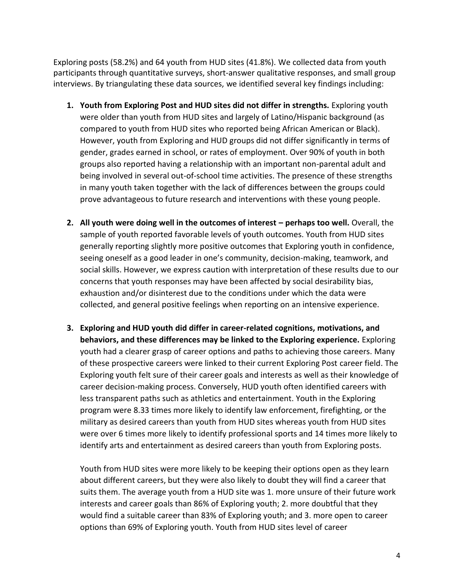Exploring posts (58.2%) and 64 youth from HUD sites (41.8%). We collected data from youth participants through quantitative surveys, short-answer qualitative responses, and small group interviews. By triangulating these data sources, we identified several key findings including:

- **1. Youth from Exploring Post and HUD sites did not differ in strengths.** Exploring youth were older than youth from HUD sites and largely of Latino/Hispanic background (as compared to youth from HUD sites who reported being African American or Black). However, youth from Exploring and HUD groups did not differ significantly in terms of gender, grades earned in school, or rates of employment. Over 90% of youth in both groups also reported having a relationship with an important non-parental adult and being involved in several out-of-school time activities. The presence of these strengths in many youth taken together with the lack of differences between the groups could prove advantageous to future research and interventions with these young people.
- **2.** All youth were doing well in the outcomes of interest perhaps too well. Overall, the sample of youth reported favorable levels of youth outcomes. Youth from HUD sites generally reporting slightly more positive outcomes that Exploring youth in confidence, seeing oneself as a good leader in one's community, decision-making, teamwork, and social skills. However, we express caution with interpretation of these results due to our concerns that youth responses may have been affected by social desirability bias, exhaustion and/or disinterest due to the conditions under which the data were collected, and general positive feelings when reporting on an intensive experience.
- **3. Exploring and HUD youth did differ in career-related cognitions, motivations, and behaviors, and these differences may be linked to the Exploring experience.** Exploring youth had a clearer grasp of career options and paths to achieving those careers. Many of these prospective careers were linked to their current Exploring Post career field. The Exploring youth felt sure of their career goals and interests as well as their knowledge of career decision-making process. Conversely, HUD youth often identified careers with less transparent paths such as athletics and entertainment. Youth in the Exploring program were 8.33 times more likely to identify law enforcement, firefighting, or the military as desired careers than youth from HUD sites whereas youth from HUD sites were over 6 times more likely to identify professional sports and 14 times more likely to identify arts and entertainment as desired careers than youth from Exploring posts.

Youth from HUD sites were more likely to be keeping their options open as they learn about different careers, but they were also likely to doubt they will find a career that suits them. The average youth from a HUD site was 1. more unsure of their future work interests and career goals than 86% of Exploring youth; 2. more doubtful that they would find a suitable career than 83% of Exploring youth; and 3. more open to career options than 69% of Exploring youth. Youth from HUD sites level of career